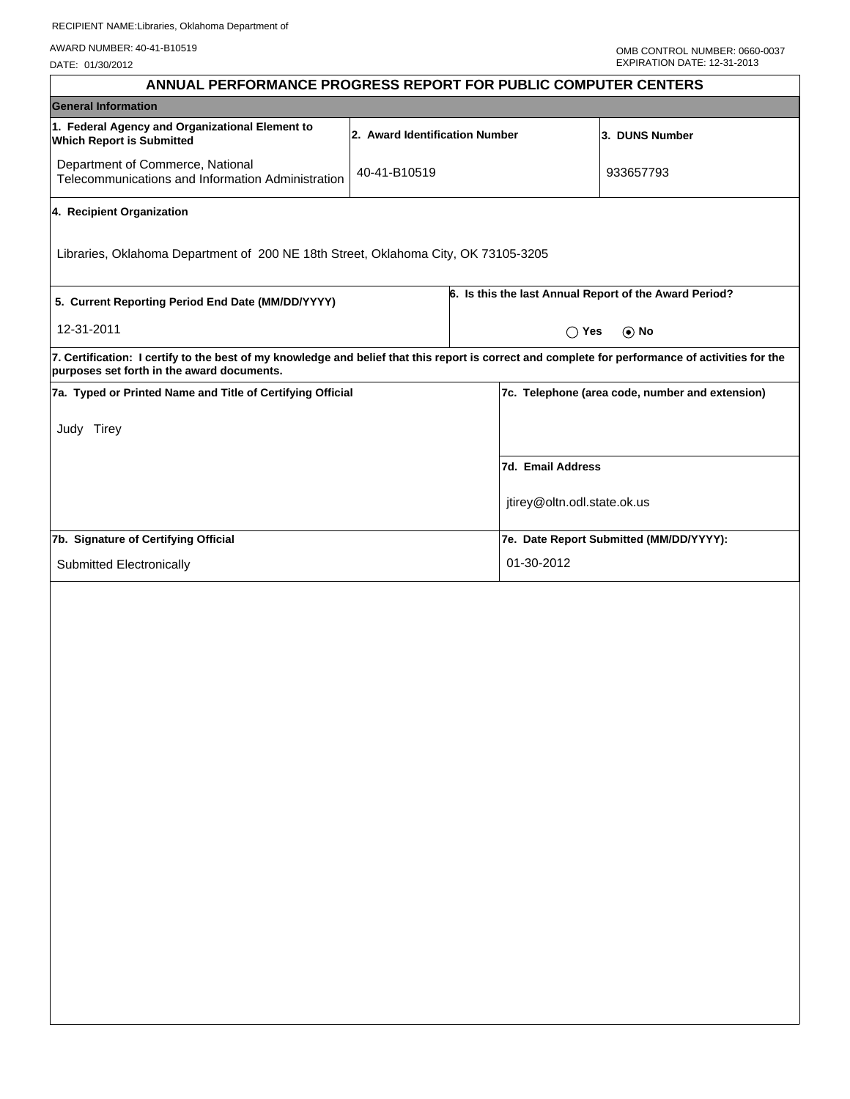| ANNUAL PERFORMANCE PROGRESS REPORT FOR PUBLIC COMPUTER CENTERS                                                                                                                                  |                                |                                                        |                                                 |  |  |
|-------------------------------------------------------------------------------------------------------------------------------------------------------------------------------------------------|--------------------------------|--------------------------------------------------------|-------------------------------------------------|--|--|
| <b>General Information</b>                                                                                                                                                                      |                                |                                                        |                                                 |  |  |
| 1. Federal Agency and Organizational Element to<br><b>Which Report is Submitted</b>                                                                                                             | 2. Award Identification Number |                                                        | 3. DUNS Number                                  |  |  |
| Department of Commerce, National<br>Telecommunications and Information Administration                                                                                                           | 40-41-B10519                   |                                                        | 933657793                                       |  |  |
| 4. Recipient Organization                                                                                                                                                                       |                                |                                                        |                                                 |  |  |
| Libraries, Oklahoma Department of 200 NE 18th Street, Oklahoma City, OK 73105-3205                                                                                                              |                                |                                                        |                                                 |  |  |
| 5. Current Reporting Period End Date (MM/DD/YYYY)                                                                                                                                               |                                | 6. Is this the last Annual Report of the Award Period? |                                                 |  |  |
| 12-31-2011                                                                                                                                                                                      |                                | $\bigcap$ Yes<br>$\odot$ No                            |                                                 |  |  |
| 7. Certification: I certify to the best of my knowledge and belief that this report is correct and complete for performance of activities for the<br>purposes set forth in the award documents. |                                |                                                        |                                                 |  |  |
| 7a. Typed or Printed Name and Title of Certifying Official                                                                                                                                      |                                |                                                        | 7c. Telephone (area code, number and extension) |  |  |
| Judy Tirey                                                                                                                                                                                      |                                |                                                        |                                                 |  |  |
|                                                                                                                                                                                                 |                                | 7d. Email Address                                      |                                                 |  |  |
|                                                                                                                                                                                                 |                                | jtirey@oltn.odl.state.ok.us                            |                                                 |  |  |
| 7b. Signature of Certifying Official                                                                                                                                                            |                                |                                                        | 7e. Date Report Submitted (MM/DD/YYYY):         |  |  |
| Submitted Electronically                                                                                                                                                                        |                                | 01-30-2012                                             |                                                 |  |  |
|                                                                                                                                                                                                 |                                |                                                        |                                                 |  |  |
|                                                                                                                                                                                                 |                                |                                                        |                                                 |  |  |
|                                                                                                                                                                                                 |                                |                                                        |                                                 |  |  |
|                                                                                                                                                                                                 |                                |                                                        |                                                 |  |  |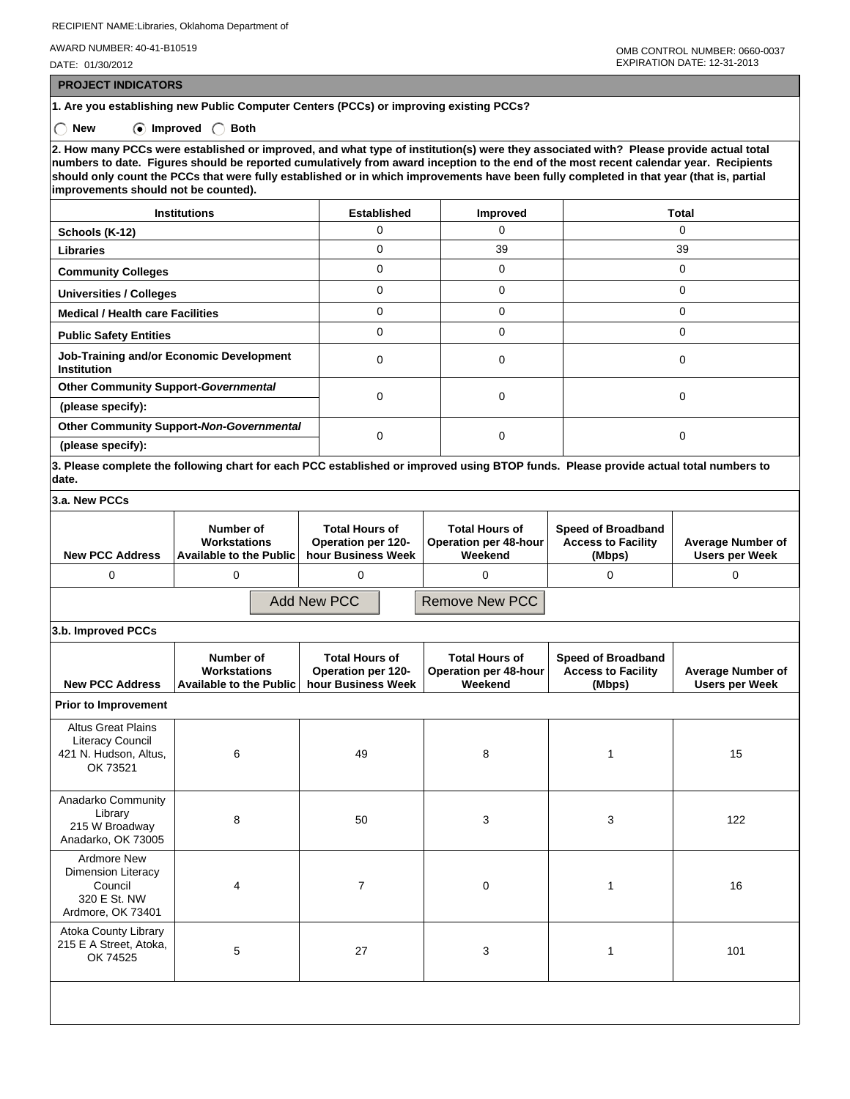RECIPIENT NAME:Libraries, Oklahoma Department of

AWARD NUMBER: 40-41-B10519

DATE: 01/30/2012

 **PROJECT INDICATORS**

**1. Are you establishing new Public Computer Centers (PCCs) or improving existing PCCs?**

 **New Improved Both**

**2. How many PCCs were established or improved, and what type of institution(s) were they associated with? Please provide actual total numbers to date. Figures should be reported cumulatively from award inception to the end of the most recent calendar year. Recipients should only count the PCCs that were fully established or in which improvements have been fully completed in that year (that is, partial improvements should not be counted).**

| <b>Institutions</b>                                            | <b>Established</b> | <b>Improved</b> | Total |
|----------------------------------------------------------------|--------------------|-----------------|-------|
| Schools (K-12)                                                 |                    | O               |       |
| <b>Libraries</b>                                               | 0                  | 39              | 39    |
| <b>Community Colleges</b>                                      | 0                  | $\Omega$        | 0     |
| <b>Universities / Colleges</b>                                 | 0                  | $\Omega$        | 0     |
| <b>Medical / Health care Facilities</b>                        | 0                  | $\Omega$        | 0     |
| <b>Public Safety Entities</b>                                  | 0                  | $\Omega$        |       |
| Job-Training and/or Economic Development<br><b>Institution</b> | 0                  | $\Omega$        |       |
| <b>Other Community Support-Governmental</b>                    | 0                  |                 |       |
| (please specify):                                              |                    | $\Omega$        |       |
| Other Community Support-Non-Governmental                       |                    | $\Omega$        |       |
| (please specify):                                              |                    |                 |       |

**3. Please complete the following chart for each PCC established or improved using BTOP funds. Please provide actual total numbers to date.**

| 3.a. New PCCs                 |                                                                      |                                                                   |                                                           |                                                                  |                                                   |
|-------------------------------|----------------------------------------------------------------------|-------------------------------------------------------------------|-----------------------------------------------------------|------------------------------------------------------------------|---------------------------------------------------|
| <b>New PCC Address</b>        | Number of<br><b>Workstations</b><br><b>Available to the Public I</b> | <b>Total Hours of</b><br>Operation per 120-<br>hour Business Week | <b>Total Hours of</b><br>Operation per 48-hour<br>Weekend | <b>Speed of Broadband</b><br><b>Access to Facility</b><br>(Mbps) | <b>Average Number of</b><br><b>Users per Week</b> |
|                               |                                                                      |                                                                   |                                                           |                                                                  |                                                   |
| Remove New PCC<br>Add New PCC |                                                                      |                                                                   |                                                           |                                                                  |                                                   |

**3.b. Improved PCCs**

| <b>New PCC Address</b>                                                                    | Number of<br>Workstations<br>Available to the Public | <b>Total Hours of</b><br><b>Operation per 120-</b><br>hour Business Week | <b>Total Hours of</b><br><b>Operation per 48-hour</b><br>Weekend | <b>Speed of Broadband</b><br><b>Access to Facility</b><br>(Mbps) | <b>Average Number of</b><br><b>Users per Week</b> |
|-------------------------------------------------------------------------------------------|------------------------------------------------------|--------------------------------------------------------------------------|------------------------------------------------------------------|------------------------------------------------------------------|---------------------------------------------------|
| <b>Prior to Improvement</b>                                                               |                                                      |                                                                          |                                                                  |                                                                  |                                                   |
| <b>Altus Great Plains</b><br><b>Literacy Council</b><br>421 N. Hudson, Altus,<br>OK 73521 | 6                                                    | 49                                                                       | 8                                                                |                                                                  | 15                                                |
| Anadarko Community<br>Library<br>215 W Broadway<br>Anadarko, OK 73005                     | 8                                                    | 50                                                                       | 3                                                                | 3                                                                | 122                                               |
| Ardmore New<br><b>Dimension Literacy</b><br>Council<br>320 E St. NW<br>Ardmore, OK 73401  | 4                                                    | $\overline{7}$                                                           | 0                                                                | 1                                                                | 16                                                |
| Atoka County Library<br>215 E A Street, Atoka,<br>OK 74525                                | 5                                                    | 27                                                                       | 3                                                                |                                                                  | 101                                               |
|                                                                                           |                                                      |                                                                          |                                                                  |                                                                  |                                                   |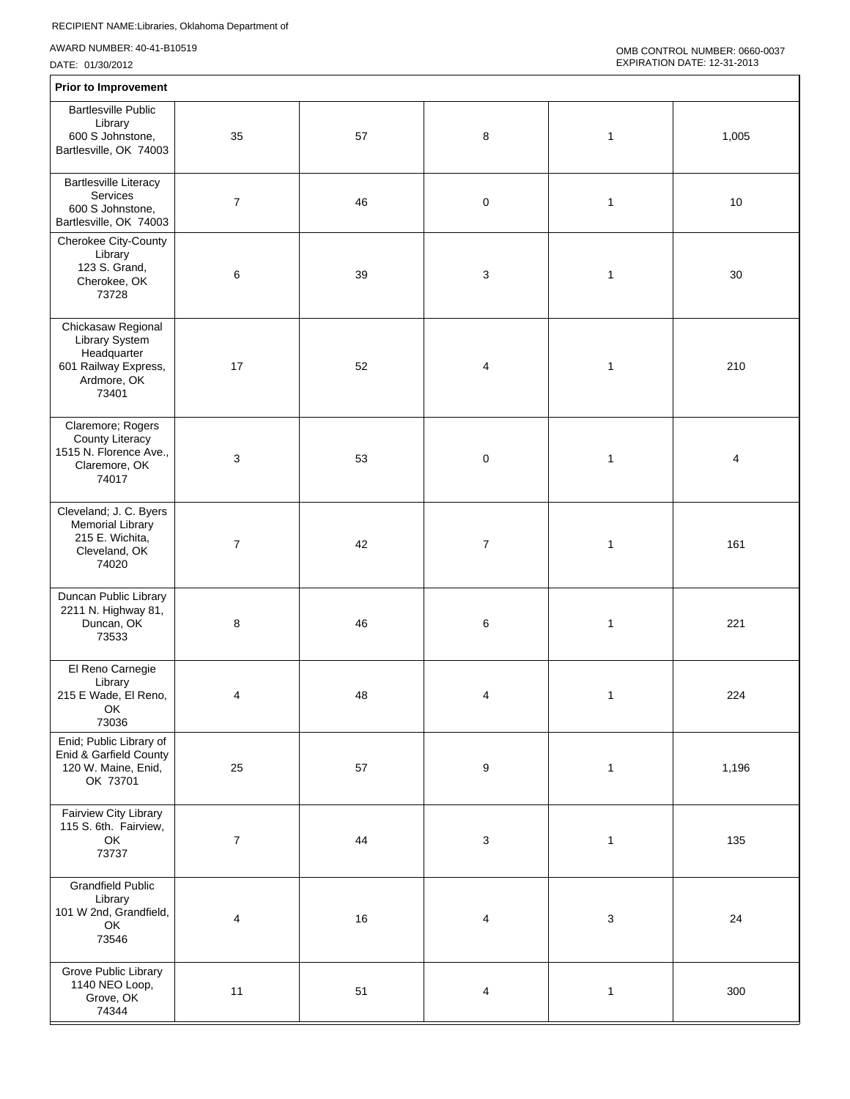| <b>Prior to Improvement</b>                                                                         |                  |    |                         |              |       |
|-----------------------------------------------------------------------------------------------------|------------------|----|-------------------------|--------------|-------|
| <b>Bartlesville Public</b><br>Library<br>600 S Johnstone,<br>Bartlesville, OK 74003                 | 35               | 57 | 8                       | $\mathbf{1}$ | 1,005 |
| <b>Bartlesville Literacy</b><br>Services<br>600 S Johnstone,<br>Bartlesville, OK 74003              | $\boldsymbol{7}$ | 46 | 0                       | $\mathbf{1}$ | 10    |
| Cherokee City-County<br>Library<br>123 S. Grand,<br>Cherokee, OK<br>73728                           | 6                | 39 | 3                       | $\mathbf{1}$ | 30    |
| Chickasaw Regional<br>Library System<br>Headquarter<br>601 Railway Express,<br>Ardmore, OK<br>73401 | 17               | 52 | 4                       | $\mathbf{1}$ | 210   |
| Claremore; Rogers<br>County Literacy<br>1515 N. Florence Ave.,<br>Claremore, OK<br>74017            | 3                | 53 | 0                       | $\mathbf{1}$ | 4     |
| Cleveland; J. C. Byers<br><b>Memorial Library</b><br>215 E. Wichita,<br>Cleveland, OK<br>74020      | $\overline{7}$   | 42 | $\overline{7}$          | $\mathbf{1}$ | 161   |
| Duncan Public Library<br>2211 N. Highway 81,<br>Duncan, OK<br>73533                                 | 8                | 46 | 6                       | $\mathbf{1}$ | 221   |
| El Reno Carnegie<br>Library<br>215 E Wade, El Reno,<br>OK<br>73036                                  | 4                | 48 | 4                       | $\mathbf{1}$ | 224   |
| Enid; Public Library of<br>Enid & Garfield County<br>120 W. Maine, Enid,<br>OK 73701                | 25               | 57 | $\boldsymbol{9}$        | $\mathbf{1}$ | 1,196 |
| Fairview City Library<br>115 S. 6th. Fairview,<br>OK<br>73737                                       | $\boldsymbol{7}$ | 44 | 3                       | $\mathbf{1}$ | 135   |
| <b>Grandfield Public</b><br>Library<br>101 W 2nd, Grandfield,<br>OK<br>73546                        | 4                | 16 | 4                       | 3            | 24    |
| Grove Public Library<br>1140 NEO Loop,<br>Grove, OK<br>74344                                        | 11               | 51 | $\overline{\mathbf{4}}$ | $\mathbf{1}$ | 300   |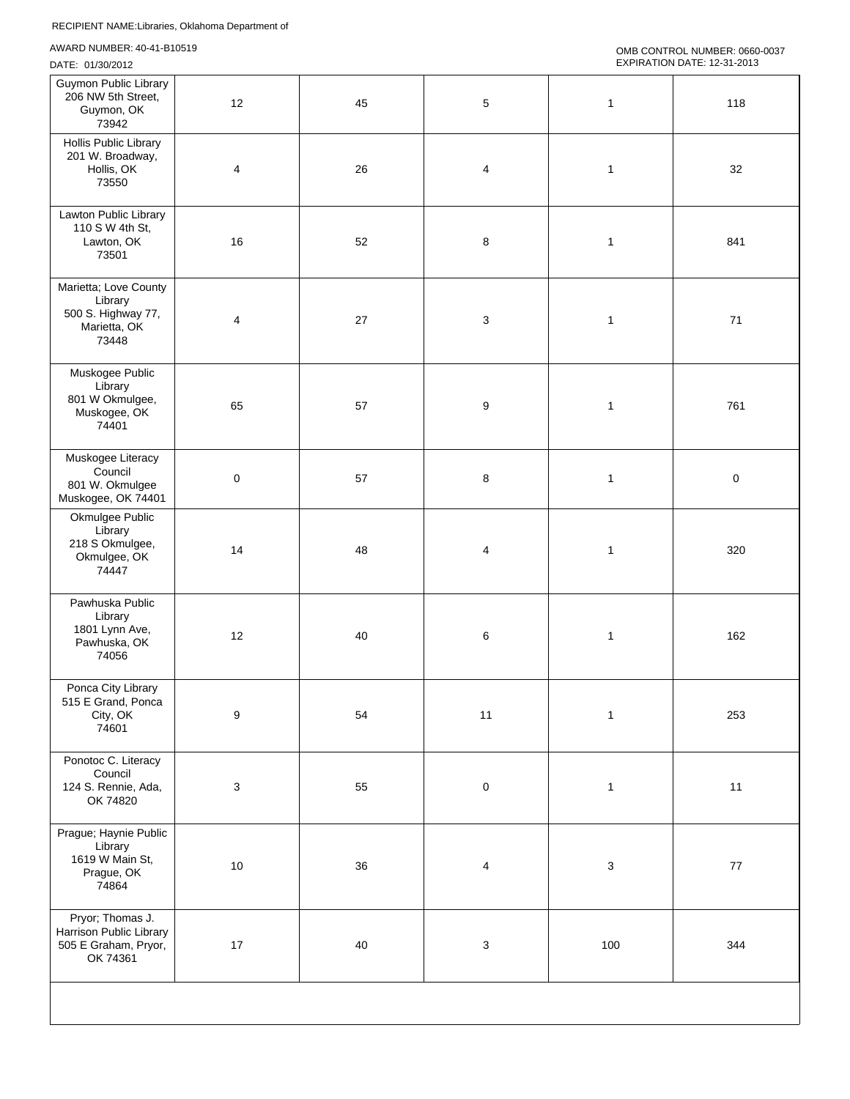| Guymon Public Library<br>206 NW 5th Street,<br>Guymon, OK<br>73942              | 12        | 45 | $\mathbf 5$               | $\mathbf{1}$ | 118         |
|---------------------------------------------------------------------------------|-----------|----|---------------------------|--------------|-------------|
| <b>Hollis Public Library</b><br>201 W. Broadway,<br>Hollis, OK<br>73550         | 4         | 26 | 4                         | $\mathbf{1}$ | 32          |
| Lawton Public Library<br>110 S W 4th St,<br>Lawton, OK<br>73501                 | 16        | 52 | 8                         | $\mathbf{1}$ | 841         |
| Marietta; Love County<br>Library<br>500 S. Highway 77,<br>Marietta, OK<br>73448 | 4         | 27 | 3                         | $\mathbf{1}$ | 71          |
| Muskogee Public<br>Library<br>801 W Okmulgee,<br>Muskogee, OK<br>74401          | 65        | 57 | 9                         | $\mathbf{1}$ | 761         |
| Muskogee Literacy<br>Council<br>801 W. Okmulgee<br>Muskogee, OK 74401           | $\pmb{0}$ | 57 | 8                         | 1            | $\mathsf 0$ |
| Okmulgee Public<br>Library<br>218 S Okmulgee,<br>Okmulgee, OK<br>74447          | 14        | 48 | 4                         | $\mathbf{1}$ | 320         |
| Pawhuska Public<br>Library<br>1801 Lynn Ave,<br>Pawhuska, OK<br>74056           | 12        | 40 | 6                         | $\mathbf{1}$ | 162         |
| Ponca City Library<br>515 E Grand, Ponca<br>City, OK<br>74601                   | 9         | 54 | 11                        | $\mathbf{1}$ | 253         |
| Ponotoc C. Literacy<br>Council<br>124 S. Rennie, Ada,<br>OK 74820               | 3         | 55 | $\mathsf 0$               | $\mathbf{1}$ | 11          |
| Prague; Haynie Public<br>Library<br>1619 W Main St,<br>Prague, OK<br>74864      | $10$      | 36 | $\overline{\mathbf{4}}$   | 3            | $77 \,$     |
| Pryor; Thomas J.<br>Harrison Public Library<br>505 E Graham, Pryor,<br>OK 74361 | 17        | 40 | $\ensuremath{\mathsf{3}}$ | 100          | 344         |
|                                                                                 |           |    |                           |              |             |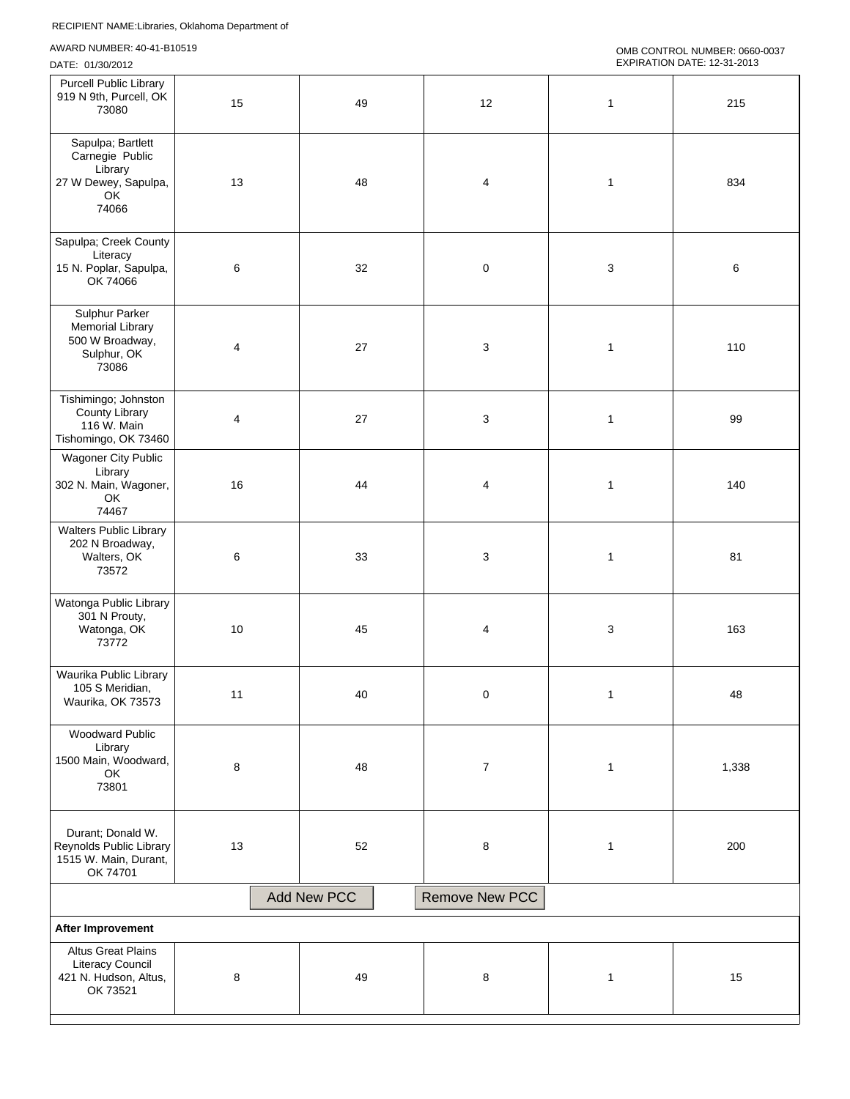```
OMB CONTROL NUMBER: 0660-0037 
EXPIRATION DATE: 12-31-2013
```

| <b>Purcell Public Library</b><br>919 N 9th, Purcell, OK<br>73080                          | 15             | 49 | 12               | $\mathbf{1}$ | 215   |  |
|-------------------------------------------------------------------------------------------|----------------|----|------------------|--------------|-------|--|
| Sapulpa; Bartlett<br>Carnegie Public<br>Library<br>27 W Dewey, Sapulpa,<br>OK<br>74066    | 13             | 48 | 4                | $\mathbf{1}$ | 834   |  |
| Sapulpa; Creek County<br>Literacy<br>15 N. Poplar, Sapulpa,<br>OK 74066                   | $\,6\,$        | 32 | $\pmb{0}$        | 3            | 6     |  |
| Sulphur Parker<br><b>Memorial Library</b><br>500 W Broadway,<br>Sulphur, OK<br>73086      | 4              | 27 | 3                | $\mathbf{1}$ | 110   |  |
| Tishimingo; Johnston<br>County Library<br>116 W. Main<br>Tishomingo, OK 73460             | $\overline{4}$ | 27 | $\sqrt{3}$       | $\mathbf{1}$ | 99    |  |
| Wagoner City Public<br>Library<br>302 N. Main, Wagoner,<br>OK<br>74467                    | 16             | 44 | 4                | $\mathbf{1}$ | 140   |  |
| <b>Walters Public Library</b><br>202 N Broadway,<br>Walters, OK<br>73572                  | 6              | 33 | $\sqrt{3}$       | $\mathbf{1}$ | 81    |  |
| Watonga Public Library<br>301 N Prouty,<br>Watonga, OK<br>73772                           | $10$           | 45 | $\overline{4}$   | 3            | 163   |  |
| Waurika Public Library<br>105 S Meridian,<br>Waurika, OK 73573                            | 11             | 40 | 0                | $\mathbf{1}$ | 48    |  |
| <b>Woodward Public</b><br>Library<br>1500 Main, Woodward,<br>OK<br>73801                  | 8              | 48 | $\boldsymbol{7}$ | $\mathbf{1}$ | 1,338 |  |
| Durant; Donald W.<br>Reynolds Public Library<br>1515 W. Main, Durant,<br>OK 74701         | 13             | 52 | 8                | $\mathbf{1}$ | 200   |  |
| <b>Add New PCC</b><br>Remove New PCC                                                      |                |    |                  |              |       |  |
| After Improvement                                                                         |                |    |                  |              |       |  |
| <b>Altus Great Plains</b><br><b>Literacy Council</b><br>421 N. Hudson, Altus,<br>OK 73521 | 8              | 49 | 8                | $\mathbf{1}$ | 15    |  |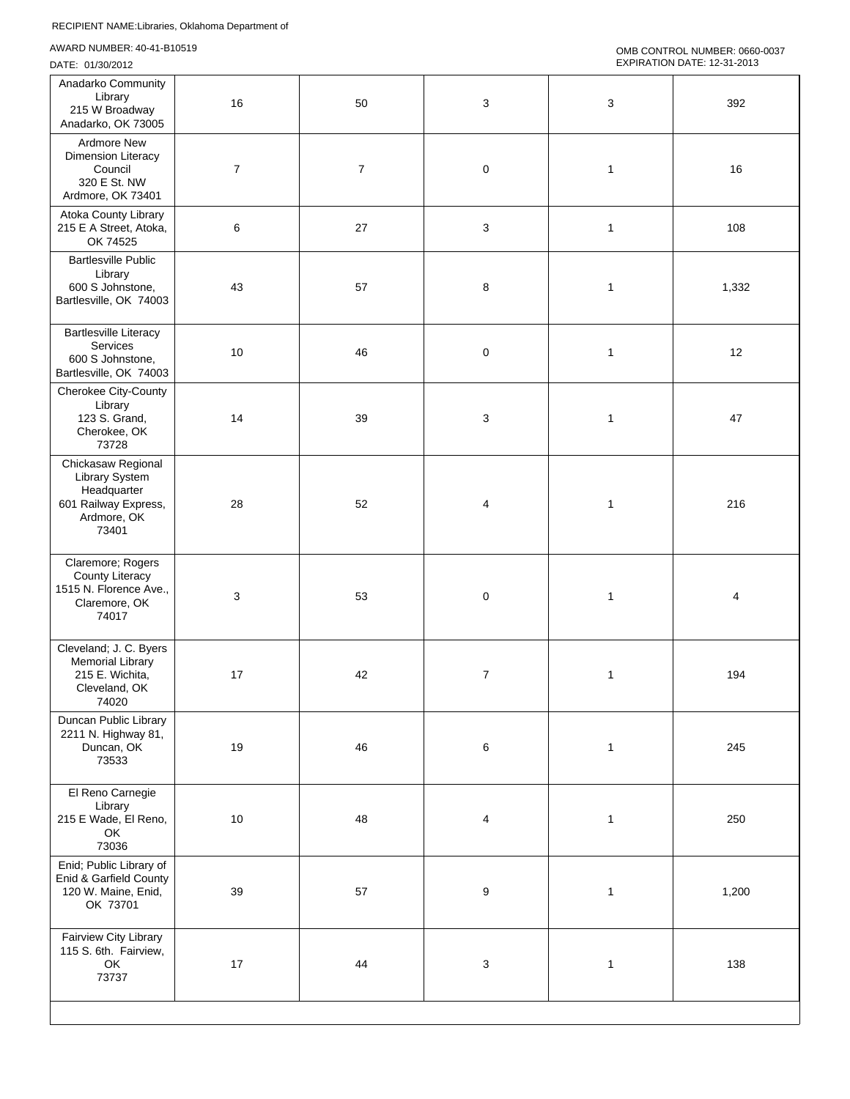| Anadarko Community<br>Library<br>215 W Broadway<br>Anadarko, OK 73005                               | 16             | 50             | 3                | 3            | 392   |
|-----------------------------------------------------------------------------------------------------|----------------|----------------|------------------|--------------|-------|
| Ardmore New<br>Dimension Literacy<br>Council<br>320 E St. NW<br>Ardmore, OK 73401                   | $\overline{7}$ | $\overline{7}$ | $\mathbf 0$      | $\mathbf{1}$ | 16    |
| Atoka County Library<br>215 E A Street, Atoka,<br>OK 74525                                          | 6              | 27             | 3                | 1            | 108   |
| <b>Bartlesville Public</b><br>Library<br>600 S Johnstone,<br>Bartlesville, OK 74003                 | 43             | 57             | 8                | $\mathbf{1}$ | 1,332 |
| <b>Bartlesville Literacy</b><br>Services<br>600 S Johnstone,<br>Bartlesville, OK 74003              | 10             | 46             | $\mathbf 0$      | $\mathbf{1}$ | 12    |
| Cherokee City-County<br>Library<br>123 S. Grand,<br>Cherokee, OK<br>73728                           | 14             | 39             | $\sqrt{3}$       | 1            | 47    |
| Chickasaw Regional<br>Library System<br>Headquarter<br>601 Railway Express,<br>Ardmore, OK<br>73401 | 28             | 52             | 4                | 1            | 216   |
| Claremore; Rogers<br>County Literacy<br>1515 N. Florence Ave.,<br>Claremore, OK<br>74017            | 3              | 53             | $\mathbf 0$      | 1            | 4     |
| Cleveland; J. C. Byers<br><b>Memorial Library</b><br>215 E. Wichita,<br>Cleveland, OK<br>74020      | 17             | 42             | $\boldsymbol{7}$ | 1            | 194   |
| Duncan Public Library<br>2211 N. Highway 81,<br>Duncan, OK<br>73533                                 | 19             | 46             | 6                | $\mathbf{1}$ | 245   |
| El Reno Carnegie<br>Library<br>215 E Wade, El Reno,<br>OK<br>73036                                  | 10             | 48             | $\overline{4}$   | $\mathbf{1}$ | 250   |
| Enid; Public Library of<br>Enid & Garfield County<br>120 W. Maine, Enid,<br>OK 73701                | 39             | 57             | $\boldsymbol{9}$ | $\mathbf{1}$ | 1,200 |
| Fairview City Library<br>115 S. 6th. Fairview,<br>OK<br>73737                                       | 17             | 44             | 3                | $\mathbf{1}$ | 138   |
|                                                                                                     |                |                |                  |              |       |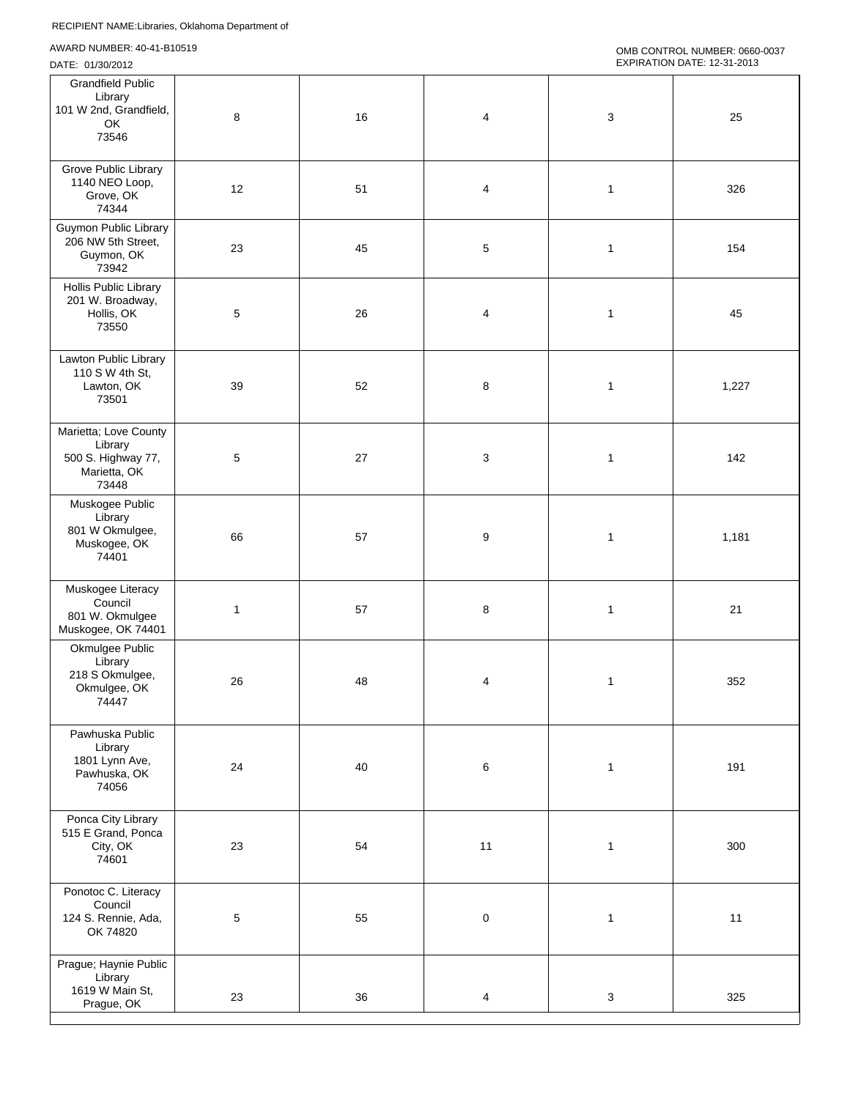| <b>Grandfield Public</b><br>Library<br>101 W 2nd, Grandfield,<br>OK<br>73546    | 8            | 16 | $\overline{\mathbf{4}}$ | 3            | 25    |
|---------------------------------------------------------------------------------|--------------|----|-------------------------|--------------|-------|
| Grove Public Library<br>1140 NEO Loop,<br>Grove, OK<br>74344                    | 12           | 51 | 4                       | $\mathbf{1}$ | 326   |
| Guymon Public Library<br>206 NW 5th Street,<br>Guymon, OK<br>73942              | 23           | 45 | $\mathbf 5$             | $\mathbf{1}$ | 154   |
| Hollis Public Library<br>201 W. Broadway,<br>Hollis, OK<br>73550                | 5            | 26 | $\overline{4}$          | 1            | 45    |
| Lawton Public Library<br>110 S W 4th St,<br>Lawton, OK<br>73501                 | 39           | 52 | 8                       | $\mathbf{1}$ | 1,227 |
| Marietta; Love County<br>Library<br>500 S. Highway 77,<br>Marietta, OK<br>73448 | 5            | 27 | 3                       | $\mathbf{1}$ | 142   |
| Muskogee Public<br>Library<br>801 W Okmulgee,<br>Muskogee, OK<br>74401          | 66           | 57 | 9                       | $\mathbf{1}$ | 1,181 |
| Muskogee Literacy<br>Council<br>801 W. Okmulgee<br>Muskogee, OK 74401           | $\mathbf{1}$ | 57 | 8                       | 1            | 21    |
| Okmulgee Public<br>Library<br>218 S Okmulgee,<br>Okmulgee, OK<br>74447          | 26           | 48 | 4                       | 1            | 352   |
| Pawhuska Public<br>Library<br>1801 Lynn Ave,<br>Pawhuska, OK<br>74056           | 24           | 40 | $\,6$                   | $\mathbf{1}$ | 191   |
| Ponca City Library<br>515 E Grand, Ponca<br>City, OK<br>74601                   | 23           | 54 | 11                      | $\mathbf{1}$ | 300   |
| Ponotoc C. Literacy<br>Council<br>124 S. Rennie, Ada,<br>OK 74820               | 5            | 55 | $\pmb{0}$               | $\mathbf{1}$ | 11    |
| Prague; Haynie Public<br>Library<br>1619 W Main St,<br>Prague, OK               | 23           | 36 | 4                       | $\mathsf 3$  | 325   |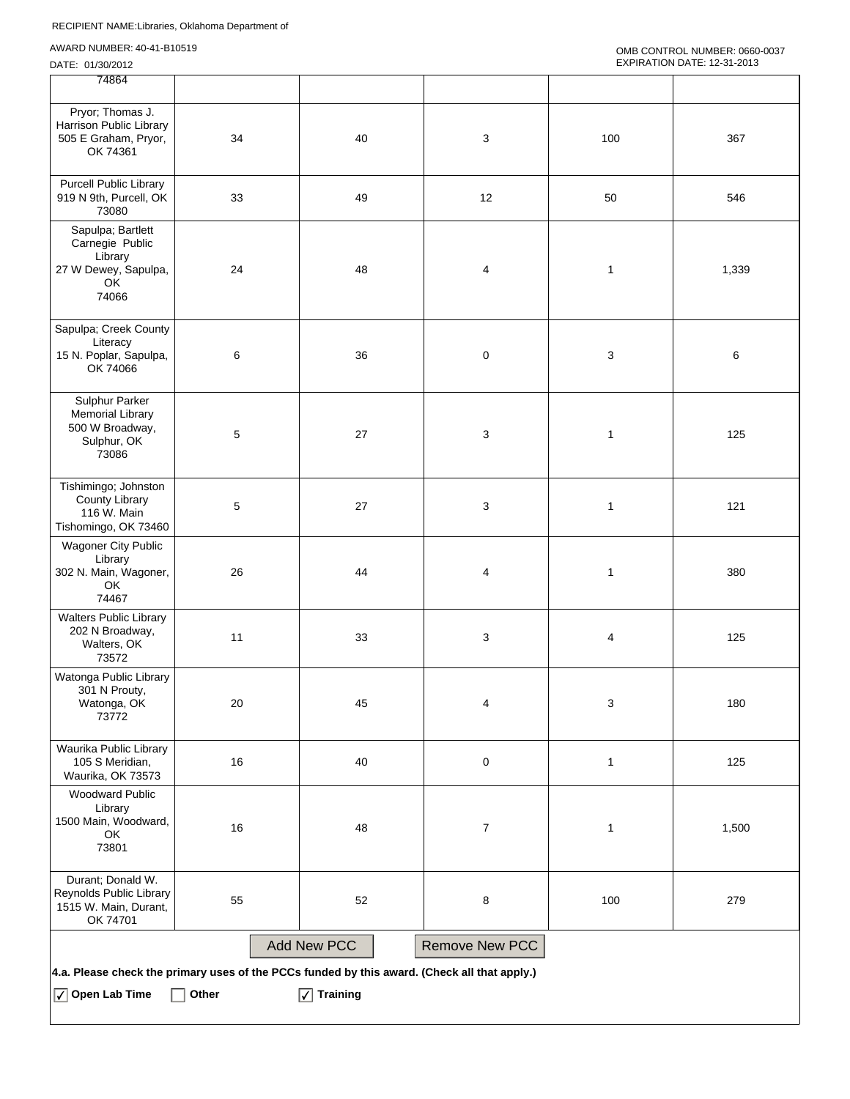| 74864                                                                                        |       |                     |                  |              |       |
|----------------------------------------------------------------------------------------------|-------|---------------------|------------------|--------------|-------|
| Pryor; Thomas J.<br>Harrison Public Library<br>505 E Graham, Pryor,<br>OK 74361              | 34    | 40                  | 3                | 100          | 367   |
| <b>Purcell Public Library</b><br>919 N 9th, Purcell, OK<br>73080                             | 33    | 49                  | 12               | 50           | 546   |
| Sapulpa; Bartlett<br>Carnegie Public<br>Library<br>27 W Dewey, Sapulpa,<br>OK<br>74066       | 24    | 48                  | 4                | $\mathbf{1}$ | 1,339 |
| Sapulpa; Creek County<br>Literacy<br>15 N. Poplar, Sapulpa,<br>OK 74066                      | 6     | 36                  | $\pmb{0}$        | 3            | 6     |
| Sulphur Parker<br><b>Memorial Library</b><br>500 W Broadway,<br>Sulphur, OK<br>73086         | 5     | 27                  | 3                | 1            | 125   |
| Tishimingo; Johnston<br><b>County Library</b><br>116 W. Main<br>Tishomingo, OK 73460         | 5     | $27\,$              | 3                | $\mathbf{1}$ | 121   |
| <b>Wagoner City Public</b><br>Library<br>302 N. Main, Wagoner,<br>OK<br>74467                | 26    | 44                  | 4                | $\mathbf{1}$ | 380   |
| <b>Walters Public Library</b><br>202 N Broadway,<br>Walters, OK<br>73572                     | 11    | 33                  | 3                | 4            | 125   |
| Watonga Public Library<br>301 N Prouty,<br>Watonga, OK<br>73772                              | 20    | 45                  | 4                | 3            | 180   |
| Waurika Public Library<br>105 S Meridian,<br>Waurika, OK 73573                               | 16    | 40                  | $\pmb{0}$        | $\mathbf{1}$ | 125   |
| Woodward Public<br>Library<br>1500 Main, Woodward,<br>OK<br>73801                            | 16    | 48                  | $\boldsymbol{7}$ | 1            | 1,500 |
| Durant; Donald W.<br>Reynolds Public Library<br>1515 W. Main, Durant,<br>OK 74701            | 55    | 52                  | 8                | 100          | 279   |
|                                                                                              |       | <b>Add New PCC</b>  | Remove New PCC   |              |       |
| 4.a. Please check the primary uses of the PCCs funded by this award. (Check all that apply.) |       |                     |                  |              |       |
| $\sqrt{\phantom{a}}$ Open Lab Time                                                           | Other | $\sqrt{ }$ Training |                  |              |       |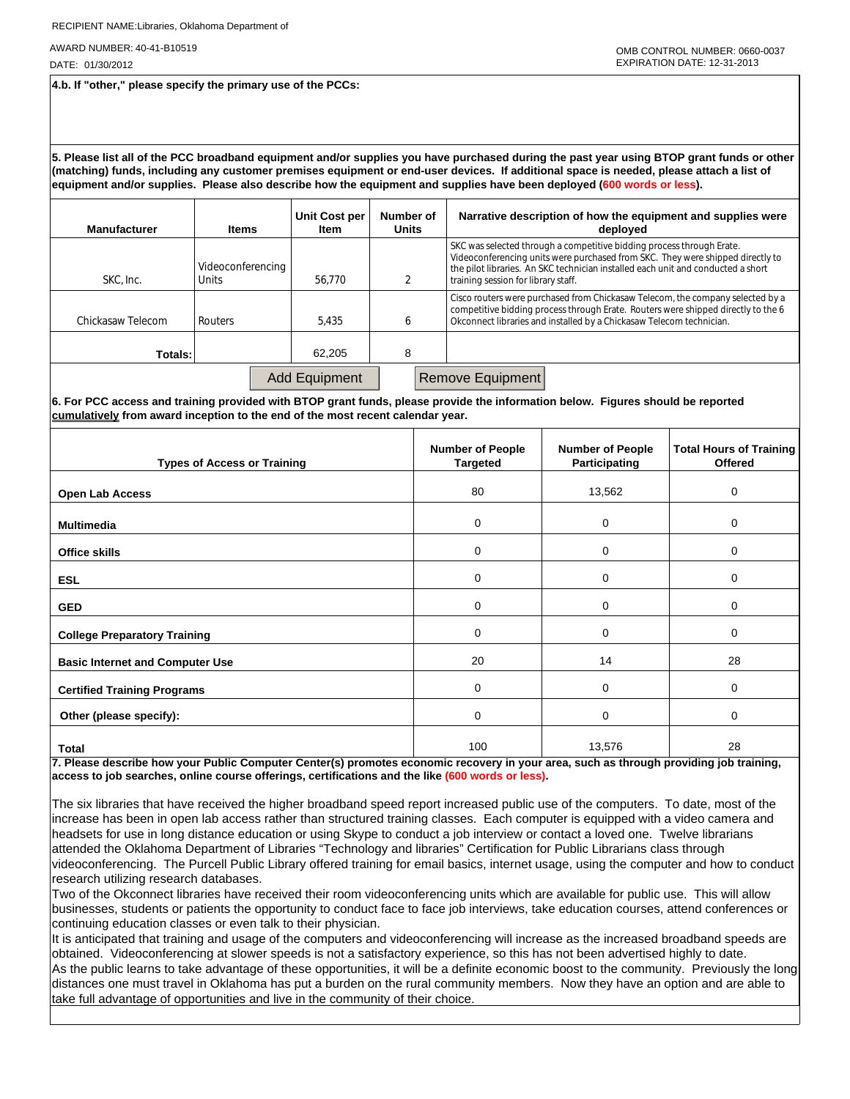DATE: 01/30/2012

**4.b. If "other," please specify the primary use of the PCCs:**

**5. Please list all of the PCC broadband equipment and/or supplies you have purchased during the past year using BTOP grant funds or other (matching) funds, including any customer premises equipment or end-user devices. If additional space is needed, please attach a list of equipment and/or supplies. Please also describe how the equipment and supplies have been deployed (600 words or less).**

| <b>Manufacturer</b> | <b>Items</b>                      | Unit Cost per<br>Item | Number of<br><b>Units</b> | Narrative description of how the equipment and supplies were<br>deployed                                                                                                                                                                                                           |
|---------------------|-----------------------------------|-----------------------|---------------------------|------------------------------------------------------------------------------------------------------------------------------------------------------------------------------------------------------------------------------------------------------------------------------------|
| SKC. Inc.           | Videoconferencing<br><b>Units</b> | 56.770                |                           | SKC was selected through a competitive bidding process through Erate.<br>Videoconferencing units were purchased from SKC. They were shipped directly to<br>the pilot libraries. An SKC technician installed each unit and conducted a short<br>training session for library staff. |
| Chickasaw Telecom   | Routers                           | 5.435                 |                           | Cisco routers were purchased from Chickasaw Telecom, the company selected by a<br>competitive bidding process through Erate. Routers were shipped directly to the 6<br>Okconnect libraries and installed by a Chickasaw Telecom technician.                                        |
| Totals:             |                                   | 62.205                | 8                         |                                                                                                                                                                                                                                                                                    |
|                     |                                   | <b>Add Equipment</b>  |                           | <b>Remove Equipment</b>                                                                                                                                                                                                                                                            |

**6. For PCC access and training provided with BTOP grant funds, please provide the information below. Figures should be reported cumulatively from award inception to the end of the most recent calendar year.**

| <b>Types of Access or Training</b>     | <b>Number of People</b><br><b>Targeted</b> | <b>Number of People</b><br>Participating | <b>Total Hours of Training</b><br><b>Offered</b> |
|----------------------------------------|--------------------------------------------|------------------------------------------|--------------------------------------------------|
| Open Lab Access                        | 80                                         | 13,562                                   | 0                                                |
| <b>Multimedia</b>                      | 0                                          | 0                                        | 0                                                |
| <b>Office skills</b>                   | 0                                          | 0                                        | 0                                                |
| <b>ESL</b>                             | 0                                          | 0                                        | 0                                                |
| <b>GED</b>                             | 0                                          | 0                                        | 0                                                |
| <b>College Preparatory Training</b>    | 0                                          | 0                                        | 0                                                |
| <b>Basic Internet and Computer Use</b> | 20                                         | 14                                       | 28                                               |
| <b>Certified Training Programs</b>     | 0                                          | 0                                        | 0                                                |
| Other (please specify):                | 0                                          | 0                                        | 0                                                |
| Total                                  | 100                                        | 13,576                                   | 28                                               |

**7. Please describe how your Public Computer Center(s) promotes economic recovery in your area, such as through providing job training, access to job searches, online course offerings, certifications and the like (600 words or less).**

The six libraries that have received the higher broadband speed report increased public use of the computers. To date, most of the increase has been in open lab access rather than structured training classes. Each computer is equipped with a video camera and headsets for use in long distance education or using Skype to conduct a job interview or contact a loved one. Twelve librarians attended the Oklahoma Department of Libraries "Technology and libraries" Certification for Public Librarians class through videoconferencing. The Purcell Public Library offered training for email basics, internet usage, using the computer and how to conduct research utilizing research databases.

Two of the Okconnect libraries have received their room videoconferencing units which are available for public use. This will allow businesses, students or patients the opportunity to conduct face to face job interviews, take education courses, attend conferences or continuing education classes or even talk to their physician.

It is anticipated that training and usage of the computers and videoconferencing will increase as the increased broadband speeds are obtained. Videoconferencing at slower speeds is not a satisfactory experience, so this has not been advertised highly to date. As the public learns to take advantage of these opportunities, it will be a definite economic boost to the community. Previously the long distances one must travel in Oklahoma has put a burden on the rural community members. Now they have an option and are able to take full advantage of opportunities and live in the community of their choice.